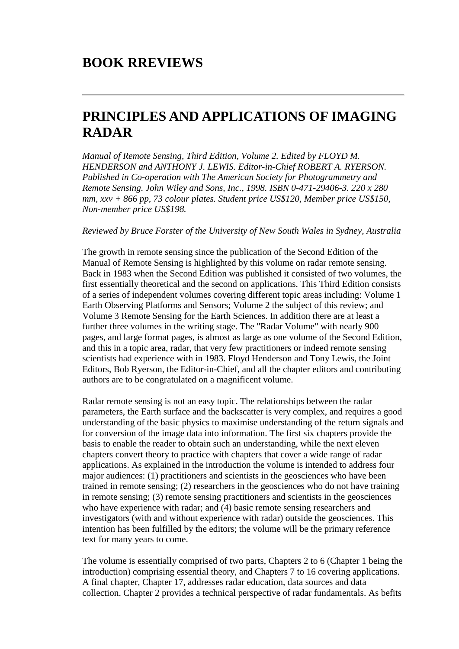# **PRINCIPLES AND APPLICATIONS OF IMAGING RADAR**

*Manual of Remote Sensing, Third Edition, Volume 2. Edited by FLOYD M. HENDERSON and ANTHONY J. LEWIS. Editor-in-Chief ROBERT A. RYERSON. Published in Co-operation with The American Society for Photogrammetry and Remote Sensing. John Wiley and Sons, Inc., 1998. ISBN 0-471-29406-3. 220 x 280 mm, xxv + 866 pp, 73 colour plates. Student price US\$120, Member price US\$150, Non-member price US\$198.*

#### *Reviewed by Bruce Forster of the University of New South Wales in Sydney, Australia*

The growth in remote sensing since the publication of the Second Edition of the Manual of Remote Sensing is highlighted by this volume on radar remote sensing. Back in 1983 when the Second Edition was published it consisted of two volumes, the first essentially theoretical and the second on applications. This Third Edition consists of a series of independent volumes covering different topic areas including: Volume 1 Earth Observing Platforms and Sensors; Volume 2 the subject of this review; and Volume 3 Remote Sensing for the Earth Sciences. In addition there are at least a further three volumes in the writing stage. The "Radar Volume" with nearly 900 pages, and large format pages, is almost as large as one volume of the Second Edition, and this in a topic area, radar, that very few practitioners or indeed remote sensing scientists had experience with in 1983. Floyd Henderson and Tony Lewis, the Joint Editors, Bob Ryerson, the Editor-in-Chief, and all the chapter editors and contributing authors are to be congratulated on a magnificent volume.

Radar remote sensing is not an easy topic. The relationships between the radar parameters, the Earth surface and the backscatter is very complex, and requires a good understanding of the basic physics to maximise understanding of the return signals and for conversion of the image data into information. The first six chapters provide the basis to enable the reader to obtain such an understanding, while the next eleven chapters convert theory to practice with chapters that cover a wide range of radar applications. As explained in the introduction the volume is intended to address four major audiences: (1) practitioners and scientists in the geosciences who have been trained in remote sensing; (2) researchers in the geosciences who do not have training in remote sensing; (3) remote sensing practitioners and scientists in the geosciences who have experience with radar; and (4) basic remote sensing researchers and investigators (with and without experience with radar) outside the geosciences. This intention has been fulfilled by the editors; the volume will be the primary reference text for many years to come.

The volume is essentially comprised of two parts, Chapters 2 to 6 (Chapter 1 being the introduction) comprising essential theory, and Chapters 7 to 16 covering applications. A final chapter, Chapter 17, addresses radar education, data sources and data collection. Chapter 2 provides a technical perspective of radar fundamentals. As befits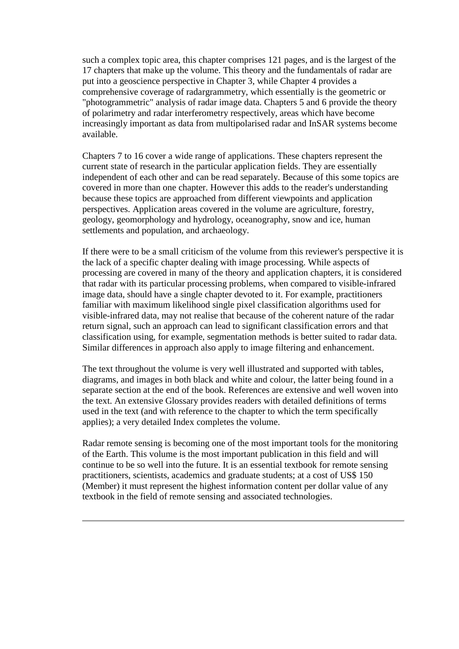such a complex topic area, this chapter comprises 121 pages, and is the largest of the 17 chapters that make up the volume. This theory and the fundamentals of radar are put into a geoscience perspective in Chapter 3, while Chapter 4 provides a comprehensive coverage of radargrammetry, which essentially is the geometric or "photogrammetric" analysis of radar image data. Chapters 5 and 6 provide the theory of polarimetry and radar interferometry respectively, areas which have become increasingly important as data from multipolarised radar and InSAR systems become available.

Chapters 7 to 16 cover a wide range of applications. These chapters represent the current state of research in the particular application fields. They are essentially independent of each other and can be read separately. Because of this some topics are covered in more than one chapter. However this adds to the reader's understanding because these topics are approached from different viewpoints and application perspectives. Application areas covered in the volume are agriculture, forestry, geology, geomorphology and hydrology, oceanography, snow and ice, human settlements and population, and archaeology.

If there were to be a small criticism of the volume from this reviewer's perspective it is the lack of a specific chapter dealing with image processing. While aspects of processing are covered in many of the theory and application chapters, it is considered that radar with its particular processing problems, when compared to visible-infrared image data, should have a single chapter devoted to it. For example, practitioners familiar with maximum likelihood single pixel classification algorithms used for visible-infrared data, may not realise that because of the coherent nature of the radar return signal, such an approach can lead to significant classification errors and that classification using, for example, segmentation methods is better suited to radar data. Similar differences in approach also apply to image filtering and enhancement.

The text throughout the volume is very well illustrated and supported with tables, diagrams, and images in both black and white and colour, the latter being found in a separate section at the end of the book. References are extensive and well woven into the text. An extensive Glossary provides readers with detailed definitions of terms used in the text (and with reference to the chapter to which the term specifically applies); a very detailed Index completes the volume.

Radar remote sensing is becoming one of the most important tools for the monitoring of the Earth. This volume is the most important publication in this field and will continue to be so well into the future. It is an essential textbook for remote sensing practitioners, scientists, academics and graduate students; at a cost of US\$ 150 (Member) it must represent the highest information content per dollar value of any textbook in the field of remote sensing and associated technologies.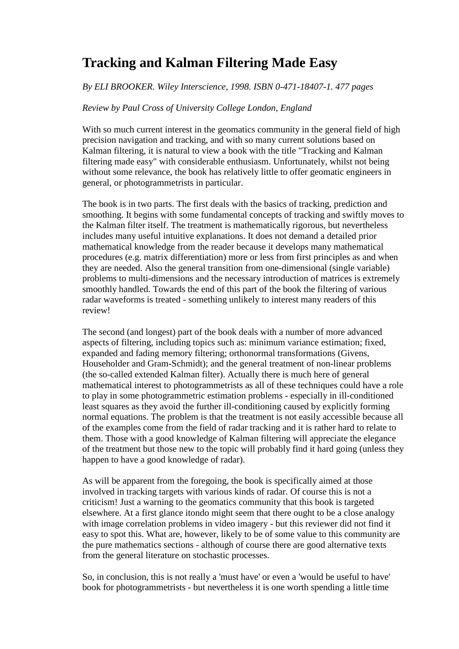## **Tracking and Kalman Filtering Made Easy**

### *By ELI BROOKER. Wiley Interscience, 1998. ISBN 0-471-18407-1. 477 pages*

### *Review by Paul Cross of University College London, England*

With so much current interest in the geomatics community in the general field of high precision navigation and tracking, and with so many current solutions based on Kalman filtering, it is natural to view a book with the title "Tracking and Kalman filtering made easy" with considerable enthusiasm. Unfortunately, whilst not being without some relevance, the book has relatively little to offer geomatic engineers in general, or photogrammetrists in particular.

The book is in two parts. The first deals with the basics of tracking, prediction and smoothing. It begins with some fundamental concepts of tracking and swiftly moves to the Kalman filter itself. The treatment is mathematically rigorous, but nevertheless includes many useful intuitive explanations. It does not demand a detailed prior mathematical knowledge from the reader because it develops many mathematical procedures (e.g. matrix differentiation) more or less from first principles as and when they are needed. Also the general transition from one-dimensional (single variable) problems to multi-dimensions and the necessary introduction of matrices is extremely smoothly handled. Towards the end of this part of the book the filtering of various radar waveforms is treated - something unlikely to interest many readers of this review!

The second (and longest) part of the book deals with a number of more advanced aspects of filtering, including topics such as: minimum variance estimation; fixed, expanded and fading memory filtering; orthonormal transformations (Givens, Householder and Gram-Schmidt); and the general treatment of non-linear problems (the so-called extended Kalman filter). Actually there is much here of general mathematical interest to photogrammetrists as all of these techniques could have a role to play in some photogrammetric estimation problems - especially in ill-conditioned least squares as they avoid the further ill-conditioning caused by explicitly forming normal equations. The problem is that the treatment is not easily accessible because all of the examples come from the field of radar tracking and it is rather hard to relate to them. Those with a good knowledge of Kalman filtering will appreciate the elegance of the treatment but those new to the topic will probably find it hard going (unless they happen to have a good knowledge of radar).

As will be apparent from the foregoing, the book is specifically aimed at those involved in tracking targets with various kinds of radar. Of course this is not a criticism! Just a warning to the geomatics community that this book is targeted elsewhere. At a first glance itondo might seem that there ought to be a close analogy with image correlation problems in video imagery - but this reviewer did not find it easy to spot this. What are, however, likely to be of some value to this community are the pure mathematics sections - although of course there are good alternative texts from the general literature on stochastic processes.

So, in conclusion, this is not really a 'must have' or even a 'would be useful to have' book for photogrammetrists - but nevertheless it is one worth spending a little time